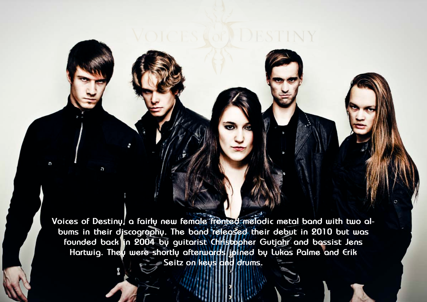Hallowed PDF-article Design by Daniel Källmalm a

Hallowed PDF-article Design by Daniel Källmalm

Voices of Destiny, a fairly new female fronted melodic metal band with two al**bums in their discography. The band released their debut in 2010 but was founded back in 2004 by guitarist Christopher Gutjahr and bassist Jens Hartwig. They were shortly afterwards joined by Lukas Palme and Erik Seitz on keys and drums.**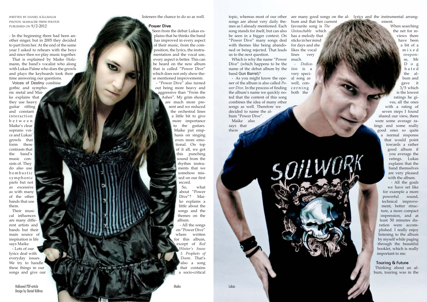written by daniel källmalm photos: massacre press photos published on 9/2-2012

- In the beginning there had been an other singer, but in 2005 they decided to part from her. At the end of the same year I asked to rehears with the boys and since then we play music together.

That is explained by Maike Holz mann, the band's vocalist who along with Lukas Palme who does the growls and plays the keyboards took their time answering our questions.

Voices of Destiny combine gothic and sympho nic metal and Mai ke explains that

they use heavy guitar riffing and constant interaction b e t w e e n Maike's clear soprano voi ce and Lukas' growls that form these contrasts that the band's music con sists of. They do also use b o m b a stic symphonic parts but not as excessive as with many of the other bands that use them.

Their musi cal influences are many diffe rent artists and bands but their main source of inspiration is life says Maike.

- Lots of our lyrics deal with everyday issues. We try to handle these things in our songs and give our

> Hallowed PDF-article Design by Daniel Källmal

listeners the chance to do so as well.

## **Power Dive**

Which is why the name "Power much. Dive" (which happens to be the name of the debut album by the *tion* is a band Gun Barrel)?

Seen from the debut Lukas ex plains that he thinks the band has improved in every aspect of their music, from the com position, the lyrics, the instru mentation and the vocal use, every aspect is better. This can be heard on the new album that is called "Power Dive" which does not only show the se mentioned improvements.

topic, whereas most of our other are many good songs on the al- lyrics and the instrumental arrangement.

SOILWORK

- "Power Dive" also turned out being more heavy and aggressive than "From the Ashes". My grim shouts are much more pre sent and we reduced the orchestral lines a little bit to give more importance to the guitars. Maike put emp hasis on singing even more emo tional. On top of it all, we got this punching sound from the rhythm instru ments that we somehow mis sed on our first record.

So, what about "Power Dive"? Mai ke explains a little about the songs and the themes on the album.

- All the songs on "Power Dive" where written for this album, except of *Red Winter's Snow I: Prophets of Doom*. That's also a song that contains a socio-critical

songs are about very daily the mes as I already mentioned. Each song stands for itself, but can also be seen in a bigger context. On "Power Dive" many songs deal with themes like being abando ned or being rejected. That leads likes the vocal us to the next question.

- As you might know the ope - al song as ner of the album is also called *Po wer Dive*. In the process of finding c e r n i n g the album's name we quickly no - both the ted that the content of this song combines the idea of many other songs as well. Therefore we decided to name the al bum "Power Dive". Maike also says that

there

bum and that her current favourite song is *The Untouchable* which has a melody that sticks in her mind for days and she lines very

- *Dedica*  very speci well, con -

When searching the net for re views there have been a bit of a m i x e d respon se, Mr D o g h a t e d the al bum and gave it 3/5 which is the lowest ratings he gi ves, all the ones with a rating of seven steps I found shared our view, there were some average ra tings and some really good ones so quite a normal response that would point towards a rather good album if you average the ratings. Lukas explains that the band themselves are very pleased with the album.

- All the goals we have set like for example a more powerful sound, technical improve ment, better struc ture, a more compact impression, and at least 50 minutes du ration were accom plished. I really enjoy listening to the album by myself while paging through the beautiful booklet, which is really important to me.

## **Touring & Future**

Thinking about an al bum, touring was in the